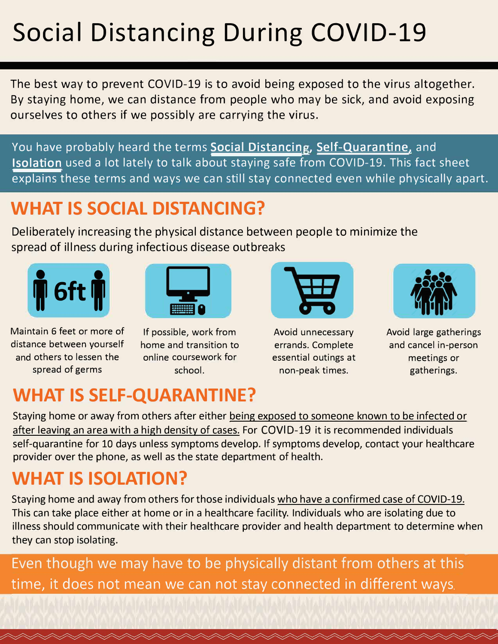#### **Social Distancing During COVID-19**

The best way to prevent COVID-19 is to avoid being exposed to the virus altogether. By staying home, we can distance from people who may be sick, and avoid exposing ourselves to others if we possibly are carrying the virus.

You have probably heard the terms **Social Distancing, Self-Quarantine**, and **Isolation** used a lot lately to talk about staying safe from COVID-19. This fact sheet explains these terms and ways we can still stay connected even while physically apart.

#### **WHAT IS SOCIAL DISTANCING?**

Deliberately increasing the physical distance between people to minimize the spread of illness during infectious disease outbreaks





Maintain 6 feet or more of If possible, work from distance between yourself home and transition to and others to lessen the online coursework for spread of germs school.



Avoid unnecessary errands. Complete essential outings at non-peak times.



Avoid large gatherings and cancel in-person meetings or gatherings.

#### **WHAT IS SELF-QUARANTINE?**

Staying home or away from others after either being exposed to someone known to be infected or after leaving an area with a high density of cases. For COVID-19 it is recommended individuals self-quarantine for 10 days unless symptoms develop. If symptoms develop, contact your healthcare provider over the phone, as well as the state department of health.

#### **WHAT IS ISOLATION?**

Staying home and away from others for those individuals who have a confirmed case of COVID-19. This can take place either at home or in a healthcare facility. Individuals who are isolating due to illness should communicate with their healthcare provider and health department to determine when they can stop isolating.

Even though we may have to be physically distant from others at this time, it does not mean we can not stay connected in different ways.